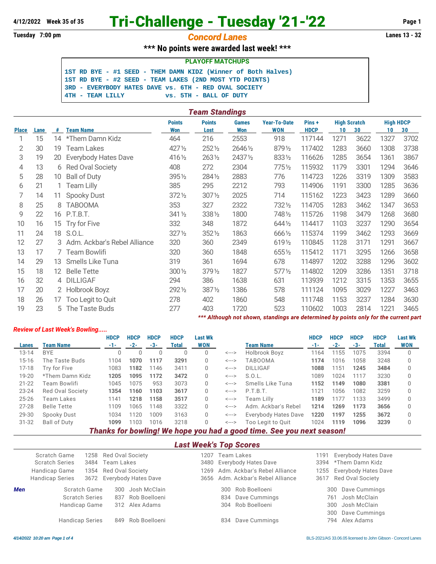# **4/12/2022 Week 35 of 35 Tri-Challenge - Tuesday '21-'22 Page 1**

## **Tuesday 7:00 pm** *Concord Lanes* **Lanes 13 - 32**

## **\*\*\* No points were awarded last week! \*\*\***

**PLAYOFF MATCHUPS**

**1ST RD BYE - #1 SEED - THEM DAMN KIDZ (Winner of Both Halves) 1ST RD BYE - #2 SEED - TEAM LAKES (2ND MOST YTD POINTS) 3RD - EVERYBODY HATES DAVE vs. 6TH - RED OVAL SOCIETY 4TH - TEAM LILLY vs. 5TH - BALL OF DUTY**

|                      | Team Standings |    |                                |                             |                       |                            |                                                                                      |                      |      |                           |                        |      |  |  |
|----------------------|----------------|----|--------------------------------|-----------------------------|-----------------------|----------------------------|--------------------------------------------------------------------------------------|----------------------|------|---------------------------|------------------------|------|--|--|
| <b>Place</b><br>Lane |                | #  | <b>Team Name</b>               | <b>Points</b><br><b>Won</b> | <b>Points</b><br>Lost | <b>Games</b><br><b>Won</b> | <b>Year-To-Date</b><br><b>WON</b>                                                    | Pins+<br><b>HDCP</b> | 10   | <b>High Scratch</b><br>30 | <b>High HDCP</b><br>10 | 30   |  |  |
|                      | 15             | 14 | *Them Damn Kidz                | 464                         | 216                   | 2553                       | 918                                                                                  | 117144               | 1271 | 3622                      | 1327                   | 3702 |  |  |
| 2                    | 30             | 19 | <b>Team Lakes</b>              | 427 1/2                     | 2521/2                | 26461/2                    | 8791/2                                                                               | 117402               | 1283 | 3660                      | 1308                   | 3738 |  |  |
| 3                    | 19             | 20 | <b>Everybody Hates Dave</b>    | 4161/2                      | 2631/2                | 24371/2                    | 8331/2                                                                               | 116626               | 1285 | 3654                      | 1361                   | 3867 |  |  |
| 4                    | 13             | 6  | Red Oval Society               | 408                         | 272                   | 2304                       | $775\%$                                                                              | 115932               | 1179 | 3301                      | 1294                   | 3646 |  |  |
| 5                    | 28             | 10 | <b>Ball of Duty</b>            | $395\%$                     | 2841/2                | 2883                       | 776                                                                                  | 114723               | 1226 | 3319                      | 1309                   | 3583 |  |  |
| 6                    | 21             |    | <b>Team Lilly</b>              | 385                         | 295                   | 2212                       | 793                                                                                  | 114906               | 1191 | 3300                      | 1285                   | 3636 |  |  |
| 7                    | 14             | 11 | <b>Spooky Dust</b>             | $372\frac{1}{2}$            | $307\%$               | 2025                       | 714                                                                                  | 115162               | 1223 | 3423                      | 1289                   | 3660 |  |  |
| 8                    | 25             | 8  | <b>TABOOMA</b>                 | 353                         | 327                   | 2322                       | 7321/2                                                                               | 114705               | 1283 | 3462                      | 1347                   | 3653 |  |  |
| 9                    | 22             |    | 16 P.T.B.T.                    | 341 1/2                     | 3381/2                | 1800                       | 7481/2                                                                               | 115726               | 1198 | 3479                      | 1268                   | 3680 |  |  |
| 10                   | 16             | 15 | Try for Five                   | 332                         | 348                   | 1872                       | 644 1/2                                                                              | 114417               | 1103 | 3237                      | 1290                   | 3654 |  |  |
| 11                   | 24             |    | 18 S.O.L.                      | $327\frac{1}{2}$            | 3521/2                | 1863                       | 6661/2                                                                               | 115374               | 1199 | 3462                      | 1293                   | 3669 |  |  |
| 12                   | 27             |    | 3 Adm. Ackbar's Rebel Alliance | 320                         | 360                   | 2349                       | 6191/2                                                                               | 110845               | 1128 | 3171                      | 1291                   | 3667 |  |  |
| 13                   | 17             |    | 7 Team Bowlifi                 | 320                         | 360                   | 1848                       | 6551/2                                                                               | 115412               | 1171 | 3295                      | 1266                   | 3658 |  |  |
| 14                   | 29             | 13 | Smells Like Tuna               | 319                         | 361                   | 1694                       | 678                                                                                  | 114897               | 1202 | 3288                      | 1296                   | 3602 |  |  |
| 15                   | 18             | 12 | <b>Belle Tette</b>             | $300\,\frac{1}{2}$          | 379 1/2               | 1827                       | $577\%$                                                                              | 114802               | 1209 | 3286                      | 1351                   | 3718 |  |  |
| 16                   | 32             |    | 4 DILLIGAF                     | 294                         | 386                   | 1638                       | 631                                                                                  | 113939               | 1212 | 3315                      | 1353                   | 3655 |  |  |
| 17                   | 20             |    | 2 Holbrook Boyz                | 2921/2                      | 3871/2                | 1386                       | 578                                                                                  | 111124               | 1095 | 3029                      | 1227                   | 3463 |  |  |
| 18                   | 26             | 17 | Too Legit to Quit              | 278                         | 402                   | 1860                       | 548                                                                                  | 111748               | 1153 | 3237                      | 1284                   | 3630 |  |  |
| 19                   | 23             |    | 5 The Taste Buds               | 277                         | 403                   | 1720                       | 523                                                                                  | 110602               | 1003 | 2814                      | 1221                   | 3465 |  |  |
|                      |                |    |                                |                             |                       |                            | *** Although not shown, standings are determined by points only for the current part |                      |      |                           |                        |      |  |  |

### *Review of Last Week's Bowling.....*

|           |                     | <b>HDCP</b> | <b>HDCP</b> | <b>HDCP</b> | <b>HDCP</b> | <b>Last Wk</b> |                            |                                                                      | <b>HDCP</b> | <b>HDCP</b> | <b>HDCP</b> | <b>HDCP</b> | <b>Last Wk</b> |
|-----------|---------------------|-------------|-------------|-------------|-------------|----------------|----------------------------|----------------------------------------------------------------------|-------------|-------------|-------------|-------------|----------------|
| Lanes     | <b>Team Name</b>    | -1-         | $-2-$       | -3-         | Total       | WON            |                            | <b>Team Name</b>                                                     | $-1-$       | $-2-$       | $-3-$       | Total       | <b>WON</b>     |
| $13 - 14$ | <b>BYE</b>          | 0           | 0           | U           | U           | 0              | $\leftarrow$ $\rightarrow$ | Holbrook Boyz                                                        | 1164        | 1155        | 1075        | 3394        | $\Omega$       |
| $15 - 16$ | The Taste Buds      | 1104        | 1070        | 1117        | 3291        | 0              | <--->                      | TABOOMA                                                              | 1174        | 1016        | 1058        | 3248        | $\Omega$       |
| $17 - 18$ | Try for Five        | 1083        | 1182        | 1146        | 3411        | 0              | <--->                      | <b>DILLIGAF</b>                                                      | 1088        | 1151        | 1245        | 3484        | $\Omega$       |
| $19 - 20$ | *Them Damn Kidz     | 1205        | 1095        | 1172        | 3472        | 0              | $\leftarrow$ $\rightarrow$ | S.0.L.                                                               | 1089        | 1024        | 1117        | 3230        | 0              |
| $21 - 22$ | Team Bowlifi        | 1045        | 1075        | 953         | 3073        | 0              | $\leftarrow$ $\rightarrow$ | Smells Like Tuna                                                     | 1152        | 1149        | 1080        | 3381        |                |
| $23 - 24$ | Red Oval Society    | 1354        | 1160        | 1103        | 3617        | 0              | $\leftarrow$ $\rightarrow$ | P.T.B.T.                                                             | 1121        | 1056        | 1082        | 3259        |                |
| $25 - 26$ | Team Lakes          | 1141        | 1218        | 1158        | 3517        | 0              | <--->                      | Team Lilly                                                           | 1189        | 1177        | 1133        | 3499        |                |
| $27 - 28$ | <b>Belle Tette</b>  | 1109        | 1065        | 1148        | 3322        | 0              | $\leftarrow$ $\rightarrow$ | Adm. Ackbar's Rebel                                                  | 1214        | 1269        | 1173        | 3656        |                |
| 29-30     | Spooky Dust         | 1034        | 120         | 1009        | 3163        | 0              | $\leftarrow$ $\rightarrow$ | Everybody Hates Dave                                                 | 1220        | 1197        | 1255        | 3672        | $\Omega$       |
| $31 - 32$ | <b>Ball of Duty</b> | 1099        | 1103        | 1016        | 3218        | 0              | $\leftarrow$ $\rightarrow$ | Too Legit to Quit                                                    | 1024        | 1119        | 1096        | 3239        |                |
|           |                     |             |             |             |             |                |                            | Thouke for houling We have you had a good time. Can you nove account |             |             |             |             |                |

#### *Thanks for bowling! We hope you had a good time. See you next season!*

*Last Week's Top Scores*

|            | Scratch Game<br><b>Scratch Series</b><br>Handicap Game<br><b>Handicap Series</b> | 3484 | 1258 Red Oval Society<br>Team Lakes<br>1354 Red Oval Society<br>3672 Everybody Hates Dave | 1207 | Team Lakes<br>3480 Everybody Hates Dave<br>1269 Adm. Ackbar's Rebel Alliance<br>3656 Adm. Ackbar's Rebel Alliance | 1191 | <b>Everybody Hates Dave</b><br>3394 *Them Damn Kidz<br>1255 Everybody Hates Dave<br>3617 Red Oval Society |
|------------|----------------------------------------------------------------------------------|------|-------------------------------------------------------------------------------------------|------|-------------------------------------------------------------------------------------------------------------------|------|-----------------------------------------------------------------------------------------------------------|
| <b>Men</b> | Scratch Game<br><b>Scratch Series</b><br>Handicap Game<br><b>Handicap Series</b> |      | 300 Josh McClain<br>837 Rob Boelloeni<br>312 Alex Adams<br>849 Rob Boelloeni              |      | 300 Rob Boelloeni<br>834 Dave Cummings<br>304 Rob Boelloeni<br>Dave Cummings<br>834                               |      | 300 Dave Cummings<br>761 Josh McClain<br>300 Josh McClain<br>300 Dave Cummings<br>794 Alex Adams          |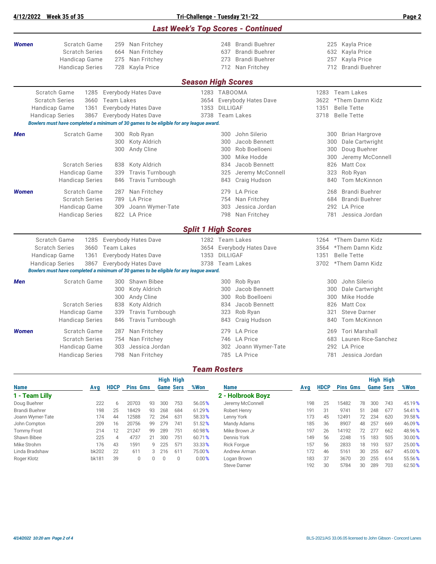**4/12/2022 Week 35 of 35 Tri-Challenge - Tuesday '21-'22 Page 2** *Last Week's Top Scores - Continued Women* Scratch Game 259 Nan Fritchey 248 Brandi Buehrer 225 Kayla Price Scratch Series 664 Nan Fritchey 637 Brandi Buehrer 632 Kayla Price Handicap Game 275 Nan Fritchey 273 Brandi Buehrer 257 Kayla Price Handicap Series 728 Kayla Price 712 Nan Fritchey 712 Brandi Buehrer *Season High Scores* Scratch Game 1285 Everybody Hates Dave 1283 TABOOMA 1283 Team Lakes Scratch Series 3660 Team Lakes 3654 Everybody Hates Dave 3622 \*Them Damn Kidz Handicap Game 1361 Everybody Hates Dave 1353 DILLIGAF 1351 Belle Tette Handicap Series 3867 Everybody Hates Dave 3738 Team Lakes 3718 Belle Tette *Bowlers must have completed a minimum of 30 games to be eligible for any league award.* **Men Scratch Game** 300 Rob Ryan 300 300 John Silerio 300 300 Brian Hargrove 300 Koty Aldrich 300 Jacob Bennett 300 Dale Cartwright 300 Andy Cline 300 Rob Boelloeni 300 Doug Buehrer 300 Jeremy McConnell Scratch Series 838 Koty Aldrich 834 Jacob Bennett 826 Matt Cox Handicap Game 339 Travis Turnbough 325 Jeremy McConnell 323 Rob Ryan Handicap Series 846 Travis Turnbough 843 Craig Hudson 840 Tom McKinnon *Women* Scratch Game 287 Nan Fritchey 279 LA Price 268 Brandi Buehrer Scratch Series 789 LA Price 754 Nan Fritchey 754 Nan Fritchey 684 Brandi Buehrer Handicap Game 309 Joann Wymer-Tate 303 Jessica Jordan 292 LA Price Handicap Series 822 LA Price 798 Nan Fritchey 781 Jessica Jordan *Split 1 High Scores* Scratch Game 1285 Everybody Hates Dave 1282 Team Lakes 1264 \*Them Damn Kidz Scratch Series 3660 Team Lakes 3654 Everybody Hates Dave 3564 \*Them Damn Kidz Handicap Game 1361 Everybody Hates Dave 1353 DILLIGAF 1351 Belle Tette Handicap Series 3867 Everybody Hates Dave 3738 Team Lakes 370 3702 \*Them Damn Kidz *Bowlers must have completed a minimum of 30 games to be eligible for any league award.* **Men Scratch Game** 300 Shawn Bibee 300 Rob Ryan 300 **300 John Silerio** 300 Koty Aldrich 300 Jacob Bennett 300 Dale Cartwright 300 Andy Cline 300 Rob Boelloeni 300 Mike Hodde Scratch Series 838 Koty Aldrich 834 Jacob Bennett 826 Matt Cox Handicap Game 339 Travis Turnbough 323 Rob Ryan 321 Steve Darner Handicap Series 846 Travis Turnbough 843 Craig Hudson 840 Tom McKinnon *Women* Scratch Game 287 Nan Fritchey 279 LA Price 269 Tori Marshall Scratch Series 754 Nan Fritchey 746 LA Price 683 Lauren Rice-Sanchez Handicap Game 303 Jessica Jordan 302 Joann Wymer-Tate 292 LA Price Handicap Series 798 Nan Fritchey 785 LA Price 781 Jessica Jordan

*Team Rosters*

|                    |       |             |                 |    |     | <b>High High</b> |        |                     |     |             |                 |    |                  | <b>High High</b> |        |
|--------------------|-------|-------------|-----------------|----|-----|------------------|--------|---------------------|-----|-------------|-----------------|----|------------------|------------------|--------|
| <b>Name</b>        | Avg   | <b>HDCP</b> | <b>Pins Gms</b> |    |     | <b>Game Sers</b> | %Won   | <b>Name</b>         | Avg | <b>HDCP</b> | <b>Pins Gms</b> |    | <b>Game Sers</b> |                  | %Won   |
| 1 - Team Lilly     |       |             |                 |    |     |                  |        | 2 - Holbrook Boyz   |     |             |                 |    |                  |                  |        |
| Doug Buehrer       | 222   | 6           | 20703           | 93 | 300 | 753              | 56.05% | Jeremy McConnell    | 198 | 25          | 15482           | 78 | 300              | 743              | 45.19% |
| Brandi Buehrer     | 198   | 25          | 18429           | 93 | 268 | 684              | 61.29% | Robert Henry        | 191 | 31          | 9741            | 51 | 248              | 677              | 54.41% |
| Joann Wymer-Tate   | 174   | 44          | 12588           | 72 | 264 | 631              | 58.33% | Lenny York          | 173 | 45          | 12491           | 72 | 234              | 620              | 39.58% |
| John Compton       | 209   | 16          | 20756           | 99 | 279 | 741              | 51.52% | Mandy Adams         | 185 | 36          | 8907            | 48 | 257              | 669              | 46.09% |
| <b>Tommy Frost</b> | 214   | 12          | 21247           | 99 | 289 | 751              | 60.98% | Mike Brown Jr       | 197 | 26          | 14192           | 72 | 277              | 662              | 48.96% |
| Shawn Bibee        | 225   | 4           | 4737            | 21 | 300 | 751              | 60.71% | Dennis York         | 149 | 56          | 2248            | 15 | 183              | 505              | 30.00% |
| Mike Strohm        | 176   | 43          | 1591            | 9  | 225 | 571              | 33.33% | <b>Rick Forgue</b>  | 157 | 56          | 2833            | 18 | 193              | 537              | 25.00% |
| Linda Bradshaw     | bk202 | 22          | 611             | 3  | 216 | 611              | 75.00% | Andrew Arman        | 172 | 46          | 5161            | 30 | 255              | 667              | 45.00% |
| Roger Klotz        | bk181 | 39          | $\Omega$        | 0  |     | 0                | 0.00%  | Logan Brown         | 183 | 37          | 3670            | 20 | 255              | 614              | 55.56% |
|                    |       |             |                 |    |     |                  |        | <b>Steve Darner</b> | 192 | 30          | 5784            | 30 | 289              | 703              | 62.50% |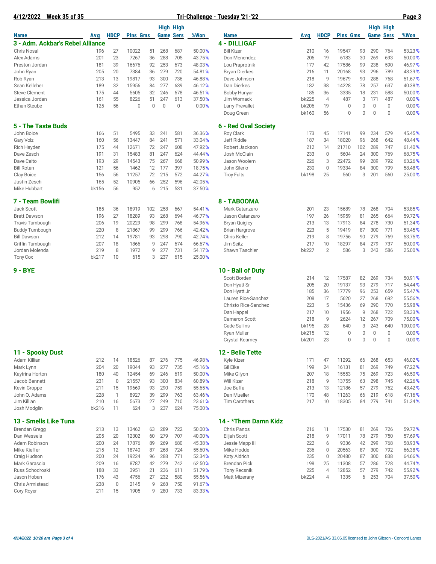**4/12/2022 Week 35 of 35 Tri-Challenge - Tuesday '21-'22 Page 3**

|                                  |       |              |                 |     |                  | <b>High High</b> |        |                        |       |                |                 |             | <b>High High</b> |              |         |
|----------------------------------|-------|--------------|-----------------|-----|------------------|------------------|--------|------------------------|-------|----------------|-----------------|-------------|------------------|--------------|---------|
| <b>Name</b>                      | Avg   | <b>HDCP</b>  | <b>Pins Gms</b> |     | <b>Game Sers</b> |                  | %Won   | <b>Name</b>            | Avg   | <b>HDCP</b>    | <b>Pins Gms</b> |             | <b>Game Sers</b> |              | %Won    |
| 3 - Adm. Ackbar's Rebel Alliance |       |              |                 |     |                  |                  |        | <b>4 - DILLIGAF</b>    |       |                |                 |             |                  |              |         |
| <b>Chris Nosal</b>               | 196   | 27           | 10022           | 51  | 268              | 687              | 50.00% | <b>Bill Kizer</b>      | 210   | 16             | 19547           | 93          | 290              | 764          | 53.23%  |
| Alex Adams                       | 201   | 23           | 7267            | 36  | 288              | 705              | 43.75% | Don Menendez           | 206   | 19             | 6183            | 30          | 269              | 693          | 50.00%  |
| Preston Jordan                   | 181   | 39           | 16676           | 92  | 253              | 673              | 48.03% | Lou Praprotnik         | 177   | 42             | 17586           | 99          | 238              | 590          | 46.97%  |
| John Ryan                        | 205   | 20           | 7384            | 36  | 279              | 720              | 54.81% | <b>Bryan Dierkes</b>   | 216   | 11             | 20168           | 93          | 296              | 789          | 48.39%  |
| Rob Ryan                         | 213   | 13           | 19817           | 93  | 300              | 736              | 46.88% | Dave Johnson           | 218   | 9              | 19679           | 90          | 288              | 768          | 51.67%  |
| Sean Kelleher                    | 189   | 32           | 15956           | 84  | 277              | 639              | 46.12% | Dan Dierkes            | 182   | 38             | 14228           | 78          | 257              | 637          | 40.38%  |
| <b>Steve Clement</b>             | 175   | 44           | 5605            | 32  | 246              | 678              | 46.51% | <b>Bobby Hunyar</b>    | 185   | 36             | 3335            | 18          | 231              | 588          | 50.00%  |
| Jessica Jordan                   | 161   | 55           | 8226            | 51  | 247              | 613              | 37.50% | Jim Womack             | bk225 | $\overline{4}$ | 487             | 3           | 171              | 487          | 0.00%   |
| Ethan Steube                     | 125   | 56           | 0               | 0   | $\mathbf 0$      | $\mathbf 0$      | 0.00%  | <b>Larry Prevallet</b> | bk206 | 19             | $\mathbf{0}$    | $\mathbb O$ | $\mathbb O$      | $\mathbf{0}$ | 0.00%   |
|                                  |       |              |                 |     |                  |                  |        | Doug Green             | bk160 | 56             | $\mathbf{0}$    | 0           | $\mathbf 0$      | $\mathbf{0}$ | 0.00%   |
| 5 - The Taste Buds               |       |              |                 |     |                  |                  |        | 6 - Red Oval Society   |       |                |                 |             |                  |              |         |
| John Boice                       | 166   | 51           | 5495            | 33  | 241              | 581              | 36.36% | Roy Clark              | 173   | 45             | 17141           | 99          | 234              | 579          | 45.45%  |
| Gary Volz                        | 160   | 56           | 13447           | 84  | 241              | 571              | 33.04% | Jeff Riddle            | 187   | 34             | 18020           | 96          | 268              | 642          | 48.44%  |
| Rich Hayden                      | 175   | 44           | 12671           | 72  | 247              | 608              | 47.92% | Robert Jackson         | 212   | 14             | 21710           | 102         | 289              | 747          | 61.40%  |
| Dave Zesch                       | 191   | 31           | 15483           | 81  | 247              | 624              | 44.44% | Josh McClain           | 233   | $\mathbb O$    | 5604            | 24          | 300              | 769          | 68.75%  |
| Dave Caito                       | 193   | 29           | 14543           | 75  | 267              | 668              | 50.99% | Jason Woolem           | 226   | 3              | 22472           | 99          | 289              | 792          | 63.26%  |
| <b>Bill Rotan</b>                | 121   | 56           | 1462            | 12  | 177              | 397              | 18.75% | John Silerio           | 230   | $\mathbf 0$    | 19334           | 84          | 300              | 799          | 58.48%  |
| Clay Boice                       | 156   | 56           | 11257           | 72  | 215              | 572              | 44.27% | <b>Troy Fults</b>      | bk198 | 25             | 560             | 3           | 201              | 560          | 25.00%  |
| Justin Zesch                     | 165   | 52           | 10905           | 66  | 252              | 596              | 42.05% |                        |       |                |                 |             |                  |              |         |
| Mike Hubbart                     | bk156 | 56           | 952             | 6   | 215              | 531              | 37.50% |                        |       |                |                 |             |                  |              |         |
| 7 - Team Bowlifi                 |       |              |                 |     |                  |                  |        | 8 - TABOOMA            |       |                |                 |             |                  |              |         |
| Jack Scott                       | 185   | 36           | 18919           | 102 | 258              | 667              | 54.41% | Mark Catanzaro         | 201   | 23             | 15689           | 78          | 268              | 704          | 53.85%  |
| <b>Brett Dawson</b>              | 196   | 27           | 18289           | 93  | 268              | 694              | 46.77% | Jason Catanzaro        | 197   | 26             | 15959           | 81          | 265              | 664          | 59.72%  |
| <b>Travis Turnbough</b>          | 206   | 19           | 20229           | 98  | 299              | 768              | 54.96% | <b>Bryan Quigley</b>   | 213   | 13             | 17913           | 84          | 278              | 730          | 51.34%  |
| <b>Buddy Turnbough</b>           | 220   | 8            | 21867           | 99  | 299              | 766              | 42.42% | <b>Brian Hargrove</b>  | 223   | 5              | 19419           | 87          | 300              | 771          | 53.45%  |
| <b>Bill Dawson</b>               | 212   | 14           | 19781           | 93  | 298              | 790              | 42.74% | Chris Keller           | 219   | 8              | 19756           | 90          | 279              | 769          | 53.75%  |
| Griffin Turnbough                | 207   | 18           | 1866            | 9   | 247              | 674              | 66.67% | Jim Seitz              | 217   | 10             | 18297           | 84          | 279              | 737          | 50.00%  |
| Jordan Molenda                   | 219   | 8            | 1972            | 9   | 277              | 731              | 54.17% | Shawn Taschler         | bk227 | $\mathbf{2}$   | 586             | 3           | 243              | 586          | 25.00%  |
| <b>Tony Cox</b>                  | bk217 | 10           | 615             | 3   | 237              | 615              | 25.00% |                        |       |                |                 |             |                  |              |         |
| 9 - BYE                          |       |              |                 |     |                  |                  |        | 10 - Ball of Duty      |       |                |                 |             |                  |              |         |
|                                  |       |              |                 |     |                  |                  |        | Scott Borden           | 214   | 12             | 17587           | 82          | 269              | 734          | 50.91%  |
|                                  |       |              |                 |     |                  |                  |        | Don Hyatt Sr           | 205   | 20             | 19137           | 93          | 279              | 717          | 54.44%  |
|                                  |       |              |                 |     |                  |                  |        | Don Hyatt Jr           | 185   | 36             | 17779           | 96          | 253              | 659          | 55.47%  |
|                                  |       |              |                 |     |                  |                  |        | Lauren Rice-Sanchez    | 208   | 17             | 5620            | 27          | 268              | 692          | 55.56%  |
|                                  |       |              |                 |     |                  |                  |        | Christo Rice-Sanchez   | 223   | 5              | 15436           | 69          | 290              | 770          | 55.98%  |
|                                  |       |              |                 |     |                  |                  |        | Dan Happel             | 217   | 10             | 1956            | 9           | 268              | 722          | 58.33%  |
|                                  |       |              |                 |     |                  |                  |        | <b>Cameron Scott</b>   | 218   | 9              | 2624            | 12          | 267              | 709          | 75.00%  |
|                                  |       |              |                 |     |                  |                  |        | Cade Sullins           | bk195 | 28             | 640             | 3           | 243              | 640          | 100.00% |
|                                  |       |              |                 |     |                  |                  |        | <b>Ryan Muller</b>     | bk215 | 12             | $\mathbf{0}$    | $\mathbf 0$ | $\mathbb O$      | $\mathbf{0}$ | 0.00%   |
|                                  |       |              |                 |     |                  |                  |        | <b>Crystal Kearney</b> | bk201 | 23             | $\Omega$        | 0           | $\mathbf{0}$     | $\Omega$     | 0.00%   |
| 11 - Spooky Dust                 |       |              |                 |     |                  |                  |        | 12 - Belle Tette       |       |                |                 |             |                  |              |         |
| Adam Killian                     | 212   | 14           | 18526           | 87  | 276              | 775              | 46.98% | Kyle Kizer             | 171   | 47             | 11292           | 66          | 268              | 653          | 46.02%  |
| Mark Lynn                        | 204   | 20           | 19044           | 93  | 277              | 735              | 45.16% | Gil Eike               | 199   | 24             | 16131           | 81          | 269              | 749          | 47.22%  |
| Kaytrina Horton                  | 180   | 40           | 12454           | 69  | 246              | 619              | 50.00% | Mike Gilyon            | 207   | 18             | 15553           | 75          | 269              | 723          | 46.50%  |
| Jacob Bennett                    | 231   | $\mathbb O$  | 21557           | 93  | 300              | 834              | 60.89% | <b>Will Kizer</b>      | 218   | 9              | 13755           | 63          | 298              | 745          | 42.26%  |
| Kevin Groppe                     | 211   | 15           | 19669           | 93  | 290              | 759              | 55.65% | Joe Buffa              | 213   | 13             | 12186           | 57          | 279              | 762          | 43.42%  |
| John Q. Adams                    | 228   | $\mathbf{1}$ | 8927            | 39  | 299              | 763              | 63.46% | Dan Mueller            | 170   | 48             | 11263           | 66          | 219              | 618          | 47.16%  |
| Jim Killian                      | 210   | 16           | 5673            | 27  | 249              | 710              | 23.61% | Tim Carothers          | 217   | 10             | 18305           | 84          | 279              | 741          | 51.34%  |
| Josh Modglin                     | bk216 | 11           | 624             | 3   | 237              | 624              | 75.00% |                        |       |                |                 |             |                  |              |         |
| 13 - Smells Like Tuna            |       |              |                 |     |                  |                  |        | 14 - *Them Damn Kidz   |       |                |                 |             |                  |              |         |
| <b>Brendan Gregg</b>             | 213   | 13           | 13462           | 63  | 289              | 722              | 50.00% | Chris Panos            | 216   | 11             | 17530           | 81          | 269              | 726          | 59.72%  |
| Dan Wessels                      | 205   | 20           | 12302           | 60  | 279              | 707              | 40.00% | Elijah Scott           | 218   | 9              | 17011           | 78          | 279              | 750          | 57.69%  |
| Adam Robinson                    | 200   | 24           | 17876           | 89  | 269              | 680              | 45.38% | Jessie Mapp III        | 222   | 6              | 9336            | 42          | 299              | 768          | 58.93%  |
| Mike Kieffer                     | 215   | 12           | 18740           | 87  | 268              | 724              | 55.60% | Mike Hodde             | 236   | $\mathbf 0$    | 20563           | 87          | 300              | 792          | 66.38%  |
| Craig Hudson                     | 200   | 24           | 19224           | 96  | 288              | 771              | 52.34% | Koty Aldrich           | 235   | $\mathbf 0$    | 20480           | 87          | 300              | 838          | 64.66%  |
| Mark Garascia                    | 209   | 16           | 8787            | 42  | 279              | 742              | 62.50% | <b>Brendan Pick</b>    | 198   | 25             | 11308           | 57          | 286              | 728          | 44.74%  |
| Russ Schodroski                  | 188   | 33           | 3951            | 21  | 236              | 611              | 51.79% | <b>Tony Recsnik</b>    | 225   | $\overline{4}$ | 12852           | 57          | 279              | 742          | 55.92%  |
| Jason Hoban                      | 176   | 43           | 4756            | 27  | 232              | 580              | 55.56% | <b>Matt Mizerany</b>   | bk224 | $\overline{4}$ | 1335            | 6           | 253              | 704          | 37.50%  |
| Chris Armistead                  | 238   | $\mathbf{0}$ | 2145            | 9   | 268              | 750              | 91.67% |                        |       |                |                 |             |                  |              |         |
| Cory Royer                       | 211   | 15           | 1905            | 9   | 280              | 733              | 83.33% |                        |       |                |                 |             |                  |              |         |